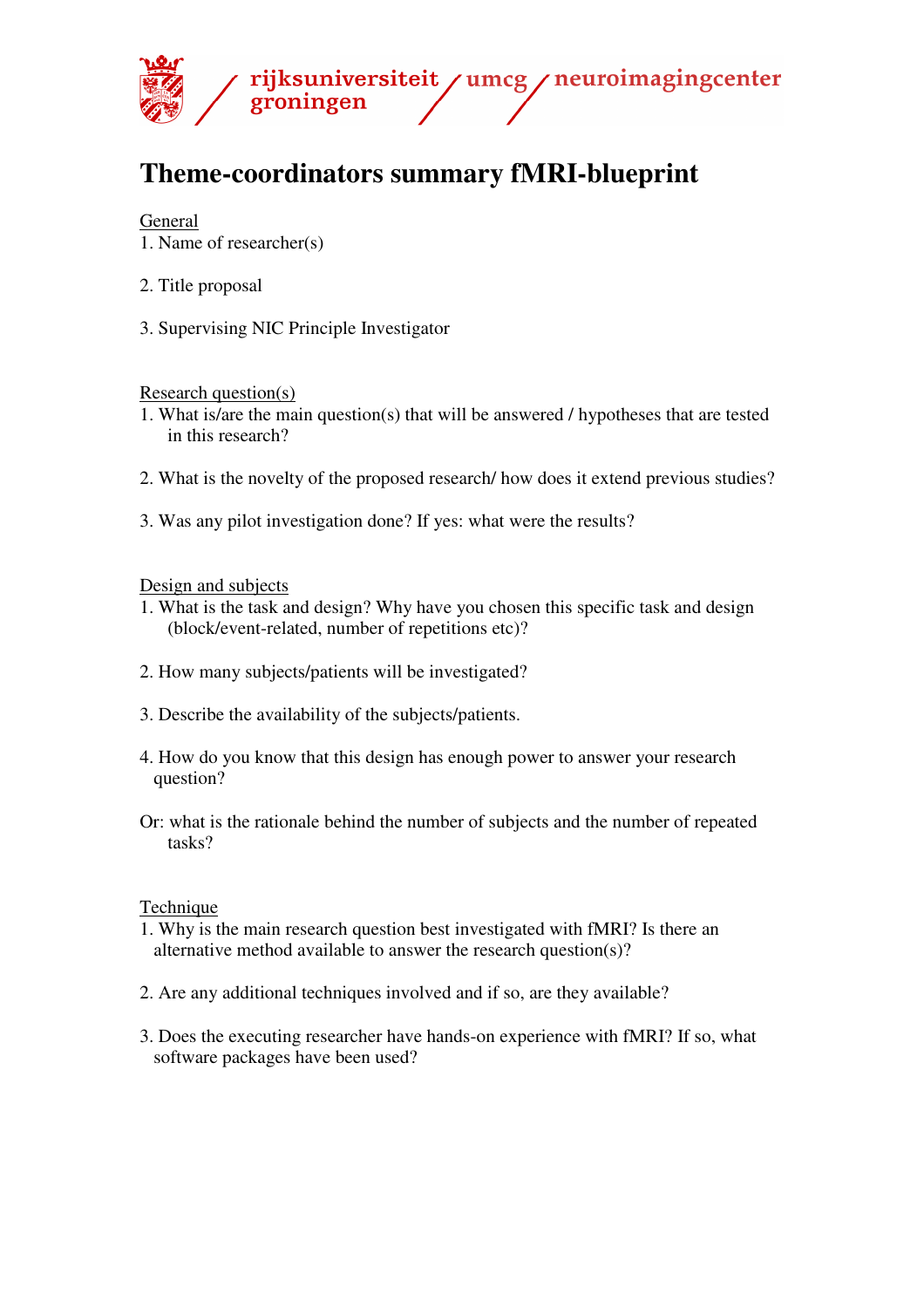

# **Theme-coordinators summary fMRI-blueprint**

### General

- 1. Name of researcher(s)
- 2. Title proposal
- 3. Supervising NIC Principle Investigator

Research question(s)

- 1. What is/are the main question(s) that will be answered / hypotheses that are tested in this research?
- 2. What is the novelty of the proposed research/ how does it extend previous studies?
- 3. Was any pilot investigation done? If yes: what were the results?

#### Design and subjects

- 1. What is the task and design? Why have you chosen this specific task and design (block/event-related, number of repetitions etc)?
- 2. How many subjects/patients will be investigated?
- 3. Describe the availability of the subjects/patients.
- 4. How do you know that this design has enough power to answer your research question?
- Or: what is the rationale behind the number of subjects and the number of repeated tasks?

#### **Technique**

- 1. Why is the main research question best investigated with fMRI? Is there an alternative method available to answer the research question(s)?
- 2. Are any additional techniques involved and if so, are they available?
- 3. Does the executing researcher have hands-on experience with fMRI? If so, what software packages have been used?